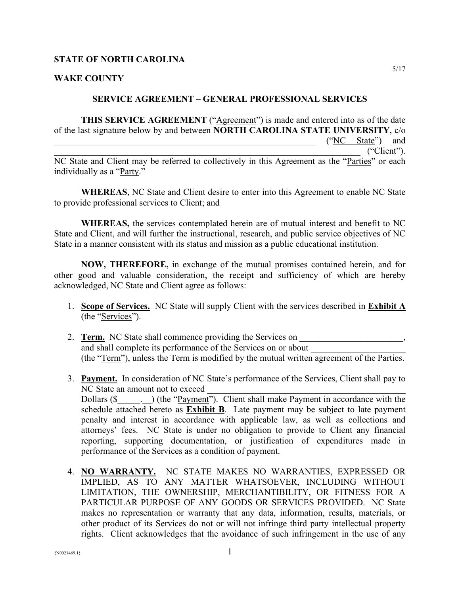#### **STATE OF NORTH CAROLINA**

### **WAKE COUNTY**

#### **SERVICE AGREEMENT – GENERAL PROFESSIONAL SERVICES**

**THIS SERVICE AGREEMENT** ("Agreement") is made and entered into as of the date of the last signature below by and between **NORTH CAROLINA STATE UNIVERSITY**, c/o  $('`NC$  State") and  $\text{``Client''}.$ 

NC State and Client may be referred to collectively in this Agreement as the "Parties" or each individually as a "Party."

**WHEREAS**, NC State and Client desire to enter into this Agreement to enable NC State to provide professional services to Client; and

**WHEREAS,** the services contemplated herein are of mutual interest and benefit to NC State and Client, and will further the instructional, research, and public service objectives of NC State in a manner consistent with its status and mission as a public educational institution.

**NOW, THEREFORE,** in exchange of the mutual promises contained herein, and for other good and valuable consideration, the receipt and sufficiency of which are hereby acknowledged, NC State and Client agree as follows:

- 1. **Scope of Services.** NC State will supply Client with the services described in **Exhibit A** (the "Services").
- 2. Term. NC State shall commence providing the Services on \_\_\_\_\_\_\_\_\_\_\_\_\_\_\_\_\_\_, and shall complete its performance of the Services on or about (the "Term"), unless the Term is modified by the mutual written agreement of the Parties.
- 3. **Payment.** In consideration of NC State's performance of the Services, Client shall pay to NC State an amount not to exceed Dollars  $(\$ \_$ .  $)$  (the "Payment"). Client shall make Payment in accordance with the schedule attached hereto as **Exhibit B**. Late payment may be subject to late payment

penalty and interest in accordance with applicable law, as well as collections and attorneys' fees. NC State is under no obligation to provide to Client any financial reporting, supporting documentation, or justification of expenditures made in performance of the Services as a condition of payment.

4. **NO WARRANTY.** NC STATE MAKES NO WARRANTIES, EXPRESSED OR IMPLIED, AS TO ANY MATTER WHATSOEVER, INCLUDING WITHOUT LIMITATION, THE OWNERSHIP, MERCHANTIBILITY, OR FITNESS FOR A PARTICULAR PURPOSE OF ANY GOODS OR SERVICES PROVIDED. NC State makes no representation or warranty that any data, information, results, materials, or other product of its Services do not or will not infringe third party intellectual property rights. Client acknowledges that the avoidance of such infringement in the use of any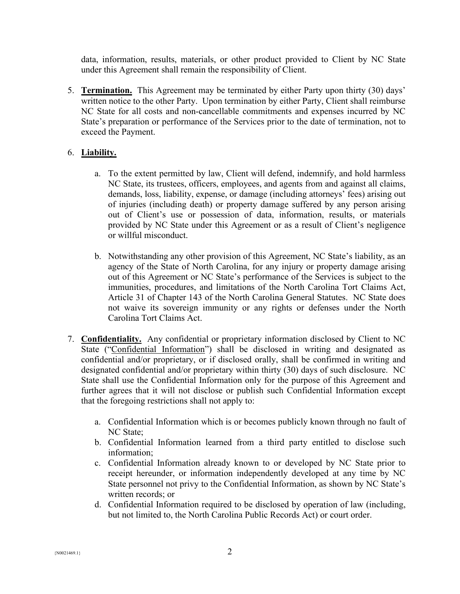data, information, results, materials, or other product provided to Client by NC State under this Agreement shall remain the responsibility of Client.

5. **Termination.** This Agreement may be terminated by either Party upon thirty (30) days' written notice to the other Party. Upon termination by either Party, Client shall reimburse NC State for all costs and non-cancellable commitments and expenses incurred by NC State's preparation or performance of the Services prior to the date of termination, not to exceed the Payment.

### 6. **Liability.**

- a. To the extent permitted by law, Client will defend, indemnify, and hold harmless NC State, its trustees, officers, employees, and agents from and against all claims, demands, loss, liability, expense, or damage (including attorneys' fees) arising out of injuries (including death) or property damage suffered by any person arising out of Client's use or possession of data, information, results, or materials provided by NC State under this Agreement or as a result of Client's negligence or willful misconduct.
- b. Notwithstanding any other provision of this Agreement, NC State's liability, as an agency of the State of North Carolina, for any injury or property damage arising out of this Agreement or NC State's performance of the Services is subject to the immunities, procedures, and limitations of the North Carolina Tort Claims Act, Article 31 of Chapter 143 of the North Carolina General Statutes. NC State does not waive its sovereign immunity or any rights or defenses under the North Carolina Tort Claims Act.
- 7. **Confidentiality.** Any confidential or proprietary information disclosed by Client to NC State ("Confidential Information") shall be disclosed in writing and designated as confidential and/or proprietary, or if disclosed orally, shall be confirmed in writing and designated confidential and/or proprietary within thirty (30) days of such disclosure. NC State shall use the Confidential Information only for the purpose of this Agreement and further agrees that it will not disclose or publish such Confidential Information except that the foregoing restrictions shall not apply to:
	- a. Confidential Information which is or becomes publicly known through no fault of NC State;
	- b. Confidential Information learned from a third party entitled to disclose such information;
	- c. Confidential Information already known to or developed by NC State prior to receipt hereunder, or information independently developed at any time by NC State personnel not privy to the Confidential Information, as shown by NC State's written records; or
	- d. Confidential Information required to be disclosed by operation of law (including, but not limited to, the North Carolina Public Records Act) or court order.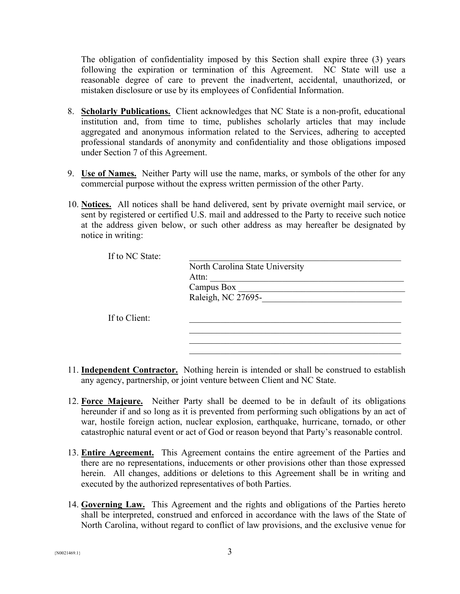The obligation of confidentiality imposed by this Section shall expire three (3) years following the expiration or termination of this Agreement. NC State will use a reasonable degree of care to prevent the inadvertent, accidental, unauthorized, or mistaken disclosure or use by its employees of Confidential Information.

- 8. **Scholarly Publications.** Client acknowledges that NC State is a non-profit, educational institution and, from time to time, publishes scholarly articles that may include aggregated and anonymous information related to the Services, adhering to accepted professional standards of anonymity and confidentiality and those obligations imposed under Section 7 of this Agreement.
- 9. **Use of Names.** Neither Party will use the name, marks, or symbols of the other for any commercial purpose without the express written permission of the other Party.
- 10. **Notices.** All notices shall be hand delivered, sent by private overnight mail service, or sent by registered or certified U.S. mail and addressed to the Party to receive such notice at the address given below, or such other address as may hereafter be designated by notice in writing:

| If to NC State: |                                 |
|-----------------|---------------------------------|
|                 | North Carolina State University |
|                 | Attn:                           |
|                 | Campus Box                      |
|                 | Raleigh, NC 27695-              |
|                 |                                 |
| If to Client:   |                                 |
|                 |                                 |
|                 |                                 |
|                 |                                 |

- 11. **Independent Contractor.** Nothing herein is intended or shall be construed to establish any agency, partnership, or joint venture between Client and NC State.
- 12. **Force Majeure.** Neither Party shall be deemed to be in default of its obligations hereunder if and so long as it is prevented from performing such obligations by an act of war, hostile foreign action, nuclear explosion, earthquake, hurricane, tornado, or other catastrophic natural event or act of God or reason beyond that Party's reasonable control.
- 13. **Entire Agreement.** This Agreement contains the entire agreement of the Parties and there are no representations, inducements or other provisions other than those expressed herein. All changes, additions or deletions to this Agreement shall be in writing and executed by the authorized representatives of both Parties.
- 14. **Governing Law.** This Agreement and the rights and obligations of the Parties hereto shall be interpreted, construed and enforced in accordance with the laws of the State of North Carolina, without regard to conflict of law provisions, and the exclusive venue for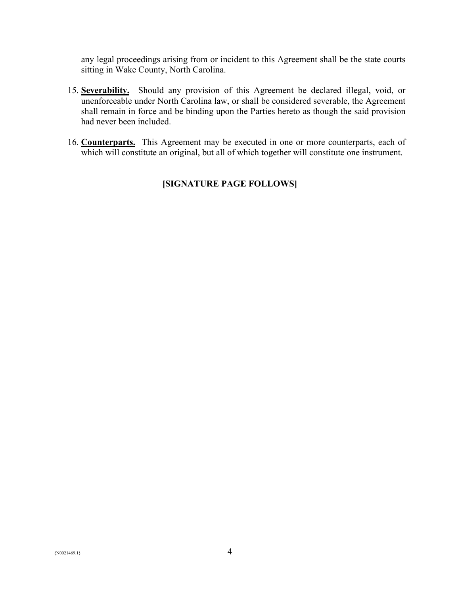any legal proceedings arising from or incident to this Agreement shall be the state courts sitting in Wake County, North Carolina.

- 15. **Severability.** Should any provision of this Agreement be declared illegal, void, or unenforceable under North Carolina law, or shall be considered severable, the Agreement shall remain in force and be binding upon the Parties hereto as though the said provision had never been included.
- 16. **Counterparts.** This Agreement may be executed in one or more counterparts, each of which will constitute an original, but all of which together will constitute one instrument.

## **[SIGNATURE PAGE FOLLOWS]**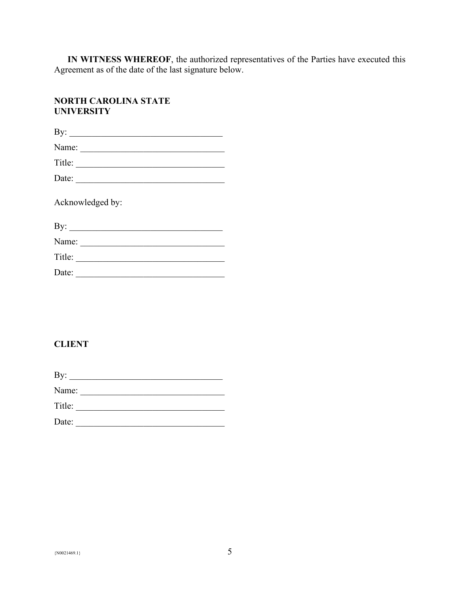**IN WITNESS WHEREOF**, the authorized representatives of the Parties have executed this Agreement as of the date of the last signature below.

## **NORTH CAROLINA STATE UNIVERSITY**

| By:    |  |  |
|--------|--|--|
| Name:  |  |  |
| Title: |  |  |
| Date:  |  |  |

Acknowledged by:

| By:    |  |  |
|--------|--|--|
| Name:  |  |  |
| Title: |  |  |
| Date:  |  |  |

## **CLIENT**

| By:    |  |  |  |
|--------|--|--|--|
| Name:  |  |  |  |
| Title: |  |  |  |
| Date:  |  |  |  |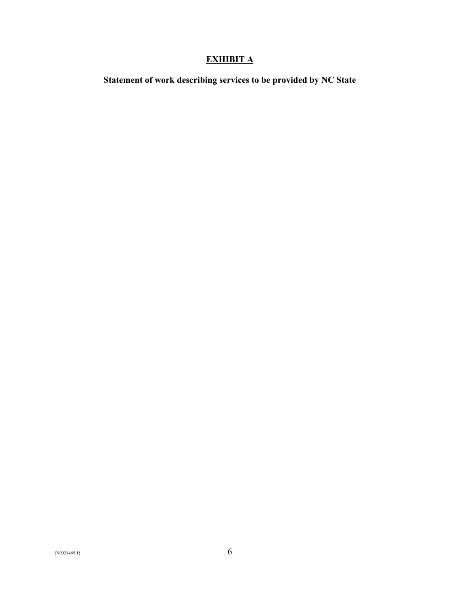# **EXHIBIT A**

**Statement of work describing services to be provided by NC State**